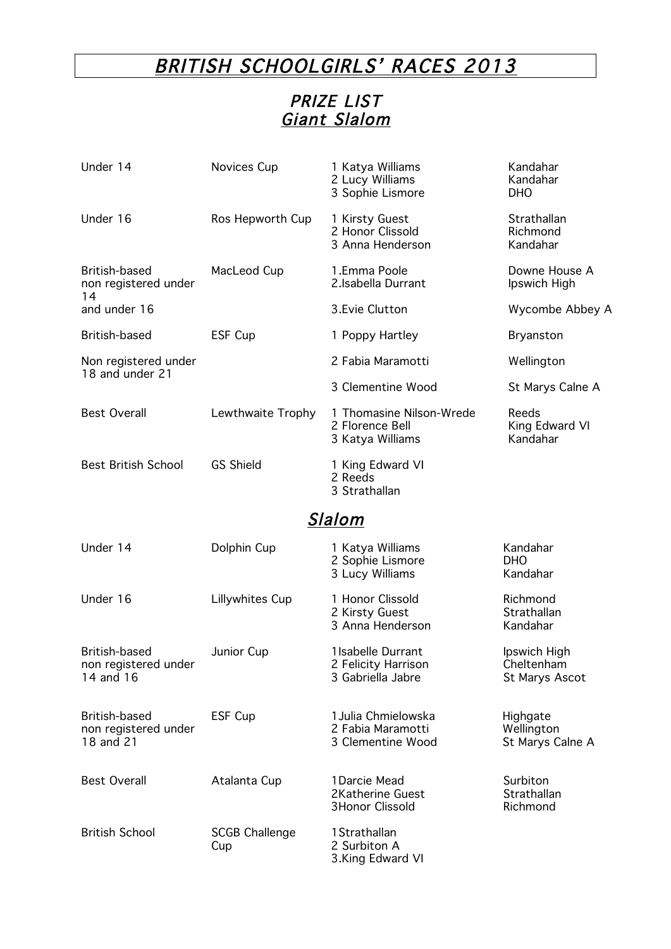## BRITISH SCHOOLGIRLS' RACES 2013

## PRIZE LIST Giant Slalom

| Under 14                                           | Novices Cup                  | 1 Katya Williams<br>2 Lucy Williams<br>3 Sophie Lismore         | Kandahar<br>Kandahar<br><b>DHO</b>           |
|----------------------------------------------------|------------------------------|-----------------------------------------------------------------|----------------------------------------------|
| Under 16                                           | Ros Hepworth Cup             | 1 Kirsty Guest<br>2 Honor Clissold<br>3 Anna Henderson          | Strathallan<br>Richmond<br>Kandahar          |
| British-based<br>non registered under<br>14        | MacLeod Cup                  | 1.Emma Poole<br>2.Isabella Durrant                              | Downe House A<br>Ipswich High                |
| and under 16                                       |                              | 3. Evie Clutton                                                 | Wycombe Abbey A                              |
| British-based                                      | ESF Cup                      | 1 Poppy Hartley                                                 | Bryanston                                    |
| Non registered under<br>18 and under 21            |                              | 2 Fabia Maramotti                                               | Wellington                                   |
|                                                    |                              | 3 Clementine Wood                                               | St Marys Calne A                             |
| <b>Best Overall</b>                                | Lewthwaite Trophy            | 1 Thomasine Nilson-Wrede<br>2 Florence Bell<br>3 Katya Williams | Reeds<br>King Edward VI<br>Kandahar          |
| <b>Best British School</b>                         | <b>GS Shield</b>             | 1 King Edward VI<br>2 Reeds<br>3 Strathallan                    |                                              |
|                                                    |                              | <u>Slalom</u>                                                   |                                              |
| Under 14                                           | Dolphin Cup                  | 1 Katya Williams<br>2 Sophie Lismore<br>3 Lucy Williams         | Kandahar<br><b>DHO</b><br>Kandahar           |
| Under 16                                           | Lillywhites Cup              | 1 Honor Clissold<br>2 Kirsty Guest<br>3 Anna Henderson          | Richmond<br>Strathallan<br>Kandahar          |
| British-based<br>non registered under<br>14 and 16 | Junior Cup                   | 1 Isabelle Durrant<br>2 Felicity Harrison<br>3 Gabriella Jabre  | Ipswich High<br>Cheltenham<br>St Marys Ascot |
| British-based<br>non registered under<br>18 and 21 | ESF Cup                      | 1 Julia Chmielowska<br>2 Fabia Maramotti<br>3 Clementine Wood   | Highgate<br>Wellington<br>St Marys Calne A   |
| <b>Best Overall</b>                                | Atalanta Cup                 | 1Darcie Mead<br>2Katherine Guest<br><b>3Honor Clissold</b>      | Surbiton<br>Strathallan<br>Richmond          |
| <b>British School</b>                              | <b>SCGB Challenge</b><br>Cup | 1 Strathallan<br>2 Surbiton A<br>3.King Edward VI               |                                              |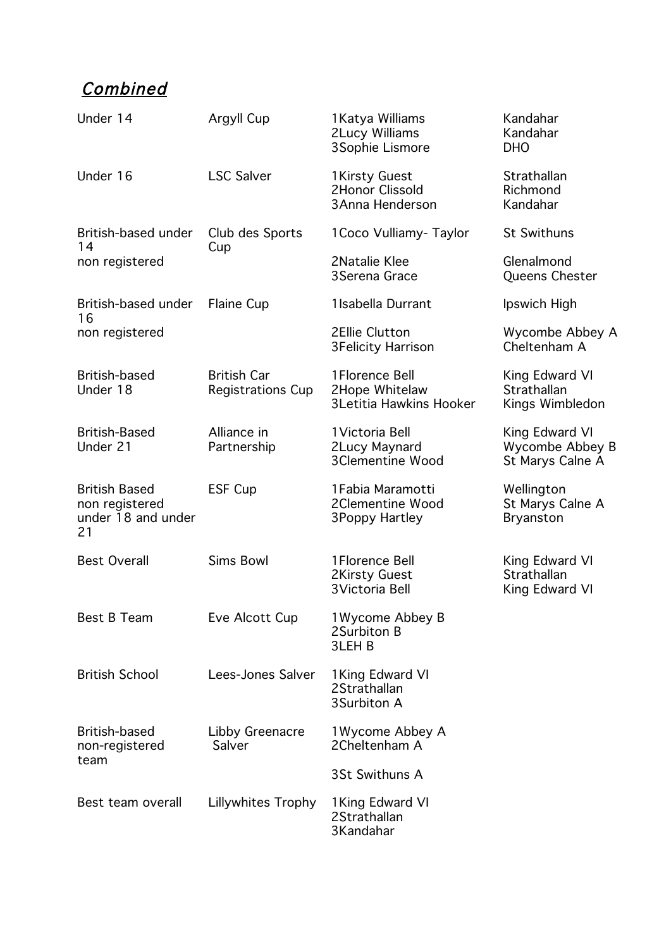## **Combined**

| Under 14                                                           | Argyll Cup                                     | 1 Katya Williams<br><b>2Lucy Williams</b><br>3Sophie Lismore        | Kandahar<br>Kandahar<br><b>DHO</b>                    |
|--------------------------------------------------------------------|------------------------------------------------|---------------------------------------------------------------------|-------------------------------------------------------|
| Under 16                                                           | <b>LSC Salver</b>                              | 1 Kirsty Guest<br>2Honor Clissold<br>3 Anna Henderson               | Strathallan<br>Richmond<br>Kandahar                   |
| British-based under<br>14<br>non registered                        | Club des Sports<br>Cup                         | 1 Coco Vulliamy - Taylor                                            | <b>St Swithuns</b>                                    |
|                                                                    |                                                | 2Natalie Klee<br>3 Serena Grace                                     | Glenalmond<br>Queens Chester                          |
| British-based under<br>16                                          | <b>Flaine Cup</b>                              | 1 Isabella Durrant                                                  | Ipswich High                                          |
| non registered                                                     |                                                | 2Ellie Clutton<br><b>3Felicity Harrison</b>                         | Wycombe Abbey A<br>Cheltenham A                       |
| British-based<br>Under 18                                          | <b>British Car</b><br><b>Registrations Cup</b> | 1 Florence Bell<br>2Hope Whitelaw<br><b>3Letitia Hawkins Hooker</b> | King Edward VI<br>Strathallan<br>Kings Wimbledon      |
| <b>British-Based</b><br>Under 21                                   | Alliance in<br>Partnership                     | 1 Victoria Bell<br>2Lucy Maynard<br><b>3Clementine Wood</b>         | King Edward VI<br>Wycombe Abbey B<br>St Marys Calne A |
| <b>British Based</b><br>non registered<br>under 18 and under<br>21 | ESF Cup                                        | 1 Fabia Maramotti<br>2Clementine Wood<br>3Poppy Hartley             | Wellington<br>St Marys Calne A<br><b>Bryanston</b>    |
| <b>Best Overall</b>                                                | <b>Sims Bowl</b>                               | 1 Florence Bell<br><b>2Kirsty Guest</b><br>3 Victoria Bell          | King Edward VI<br>Strathallan<br>King Edward VI       |
| Best B Team                                                        | Eve Alcott Cup                                 | 1 Wycome Abbey B<br>2Surbiton B<br>3LEH <sub>B</sub>                |                                                       |
| <b>British School</b>                                              | Lees-Jones Salver                              | 1 King Edward VI<br>2Strathallan<br>3Surbiton A                     |                                                       |
| British-based<br>non-registered<br>team                            | Libby Greenacre<br>Salver                      | 1 Wycome Abbey A<br>2Cheltenham A                                   |                                                       |
|                                                                    |                                                | 3St Swithuns A                                                      |                                                       |
| Best team overall                                                  | Lillywhites Trophy                             | 1 King Edward VI<br>2Strathallan<br>3Kandahar                       |                                                       |